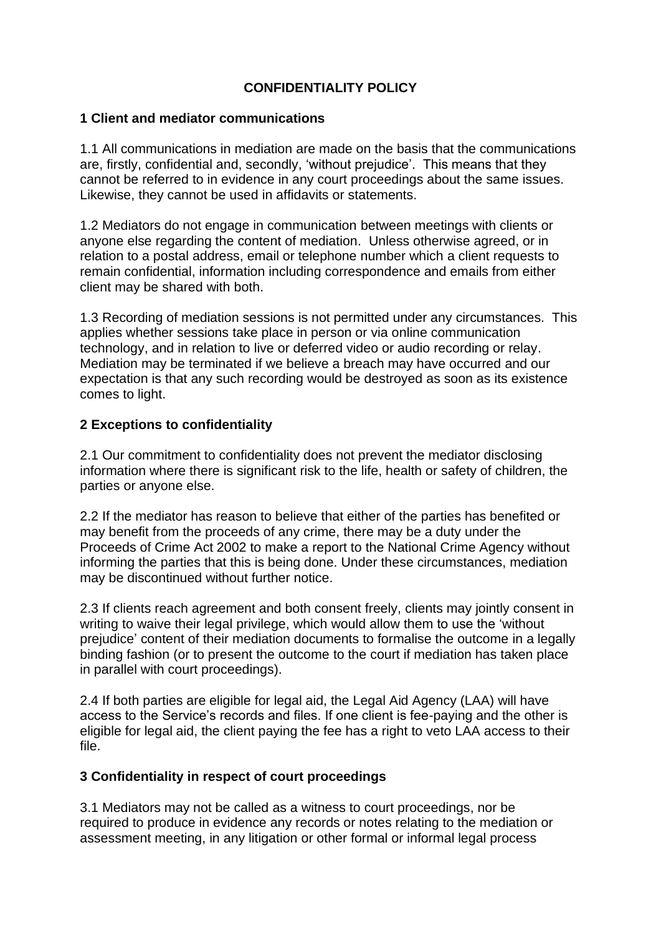## **CONFIDENTIALITY POLICY**

## **1 Client and mediator communications**

1.1 All communications in mediation are made on the basis that the communications are, firstly, confidential and, secondly, 'without prejudice'. This means that they cannot be referred to in evidence in any court proceedings about the same issues. Likewise, they cannot be used in affidavits or statements.

1.2 Mediators do not engage in communication between meetings with clients or anyone else regarding the content of mediation. Unless otherwise agreed, or in relation to a postal address, email or telephone number which a client requests to remain confidential, information including correspondence and emails from either client may be shared with both.

1.3 Recording of mediation sessions is not permitted under any circumstances. This applies whether sessions take place in person or via online communication technology, and in relation to live or deferred video or audio recording or relay. Mediation may be terminated if we believe a breach may have occurred and our expectation is that any such recording would be destroyed as soon as its existence comes to light.

## **2 Exceptions to confidentiality**

2.1 Our commitment to confidentiality does not prevent the mediator disclosing information where there is significant risk to the life, health or safety of children, the parties or anyone else.

2.2 If the mediator has reason to believe that either of the parties has benefited or may benefit from the proceeds of any crime, there may be a duty under the Proceeds of Crime Act 2002 to make a report to the National Crime Agency without informing the parties that this is being done. Under these circumstances, mediation may be discontinued without further notice.

2.3 If clients reach agreement and both consent freely, clients may jointly consent in writing to waive their legal privilege, which would allow them to use the 'without prejudice' content of their mediation documents to formalise the outcome in a legally binding fashion (or to present the outcome to the court if mediation has taken place in parallel with court proceedings).

2.4 If both parties are eligible for legal aid, the Legal Aid Agency (LAA) will have access to the Service's records and files. If one client is fee-paying and the other is eligible for legal aid, the client paying the fee has a right to veto LAA access to their file.

## **3 Confidentiality in respect of court proceedings**

3.1 Mediators may not be called as a witness to court proceedings, nor be required to produce in evidence any records or notes relating to the mediation or assessment meeting, in any litigation or other formal or informal legal process